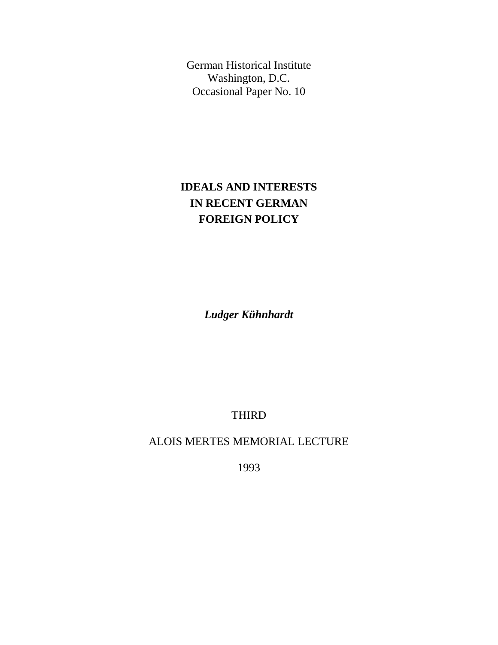German Historical Institute Washington, D.C. Occasional Paper No. 10

## **IDEALS AND INTERESTS IN RECENT GERMAN FOREIGN POLICY**

*Ludger Kühnhardt*

THIRD

ALOIS MERTES MEMORIAL LECTURE

1993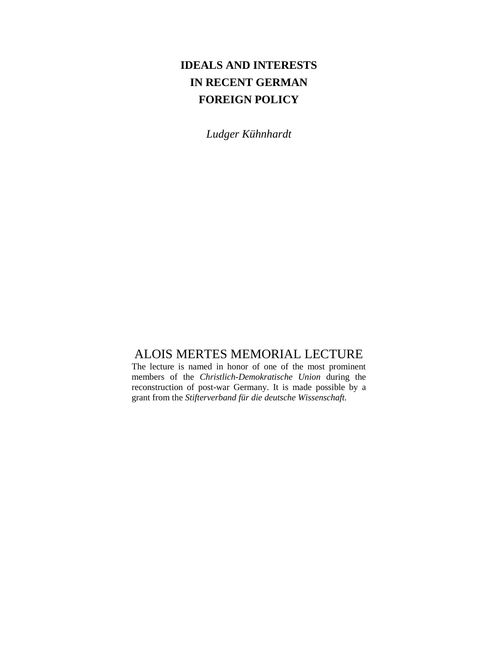## **IDEALS AND INTERESTS IN RECENT GERMAN FOREIGN POLICY**

*Ludger Kühnhardt*

## ALOIS MERTES MEMORIAL LECTURE

The lecture is named in honor of one of the most prominent members of the *Christlich-Demokratische Union* during the reconstruction of post-war Germany. It is made possible by a grant from the *Stifterverband für die deutsche Wissenschaft.*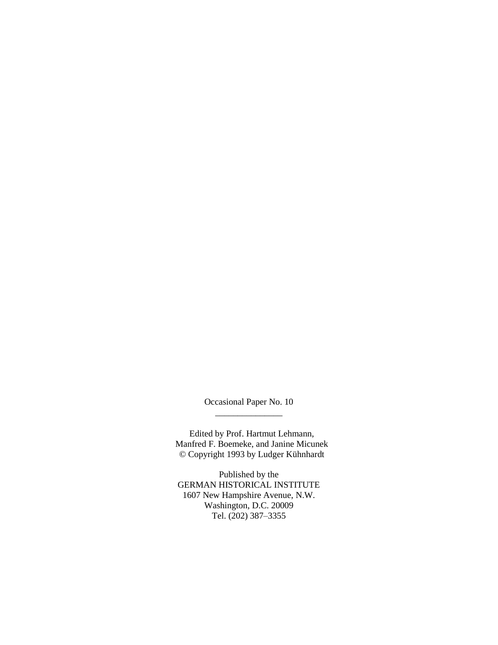Occasional Paper No. 10 \_\_\_\_\_\_\_\_\_\_\_\_\_\_\_

Edited by Prof. Hartmut Lehmann, Manfred F. Boemeke, and Janine Micunek © Copyright 1993 by Ludger Kühnhardt

Published by the GERMAN HISTORICAL INSTITUTE 1607 New Hampshire Avenue, N.W. Washington, D.C. 20009 Tel. (202) 387–3355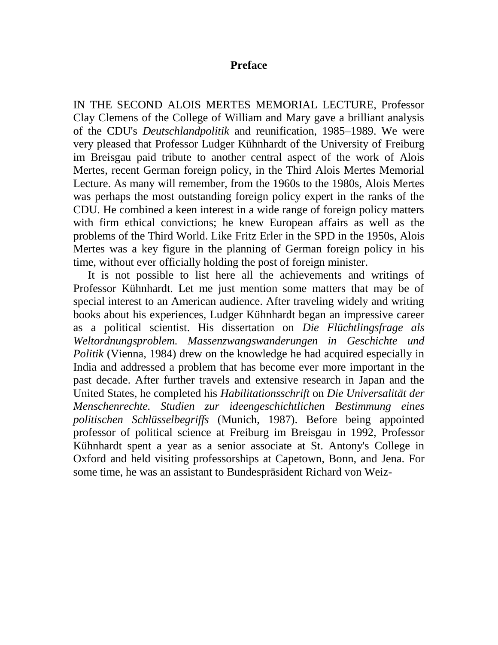## **Preface**

IN THE SECOND ALOIS MERTES MEMORIAL LECTURE, Professor Clay Clemens of the College of William and Mary gave a brilliant analysis of the CDU's *Deutschlandpolitik* and reunification, 1985–1989. We were very pleased that Professor Ludger Kühnhardt of the University of Freiburg im Breisgau paid tribute to another central aspect of the work of Alois Mertes, recent German foreign policy, in the Third Alois Mertes Memorial Lecture. As many will remember, from the 1960s to the 1980s, Alois Mertes was perhaps the most outstanding foreign policy expert in the ranks of the CDU. He combined a keen interest in a wide range of foreign policy matters with firm ethical convictions; he knew European affairs as well as the problems of the Third World. Like Fritz Erler in the SPD in the 1950s, Alois Mertes was a key figure in the planning of German foreign policy in his time, without ever officially holding the post of foreign minister.

It is not possible to list here all the achievements and writings of Professor Kühnhardt. Let me just mention some matters that may be of special interest to an American audience. After traveling widely and writing books about his experiences, Ludger Kühnhardt began an impressive career as a political scientist. His dissertation on *Die Flüchtlingsfrage als Weltordnungsproblem. Massenzwangswanderungen in Geschichte und Politik* (Vienna, 1984) drew on the knowledge he had acquired especially in India and addressed a problem that has become ever more important in the past decade. After further travels and extensive research in Japan and the United States, he completed his *Habilitationsschrift* on *Die Universalität der Menschenrechte. Studien zur ideengeschichtlichen Bestimmung eines politischen Schlüsselbegriffs* (Munich, 1987). Before being appointed professor of political science at Freiburg im Breisgau in 1992, Professor Kühnhardt spent a year as a senior associate at St. Antony's College in Oxford and held visiting professorships at Capetown, Bonn, and Jena. For some time, he was an assistant to Bundespräsident Richard von Weiz-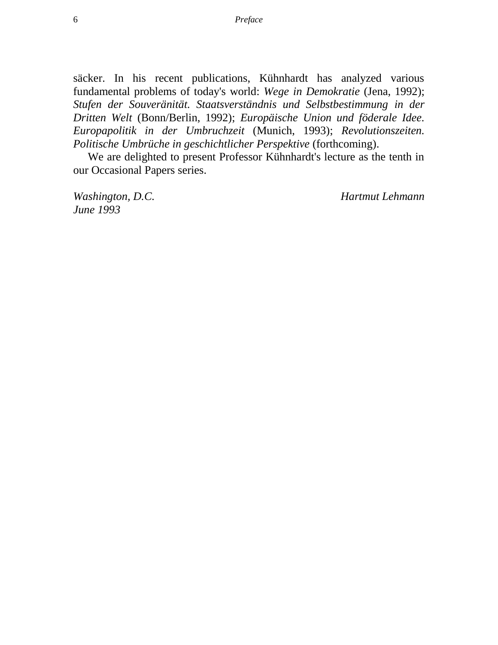säcker. In his recent publications, Kühnhardt has analyzed various fundamental problems of today's world: *Wege in Demokratie* (Jena, 1992); *Stufen der Souveränität. Staatsverständnis und Selbstbestimmung in der Dritten Welt* (Bonn/Berlin, 1992); *Europäische Union und föderale Idee. Europapolitik in der Umbruchzeit* (Munich, 1993); *Revolutionszeiten. Politische Umbrüche in geschichtlicher Perspektive* (forthcoming).

We are delighted to present Professor Kühnhardt's lecture as the tenth in our Occasional Papers series.

*June 1993*

*Washington, D.C. Hartmut Lehmann*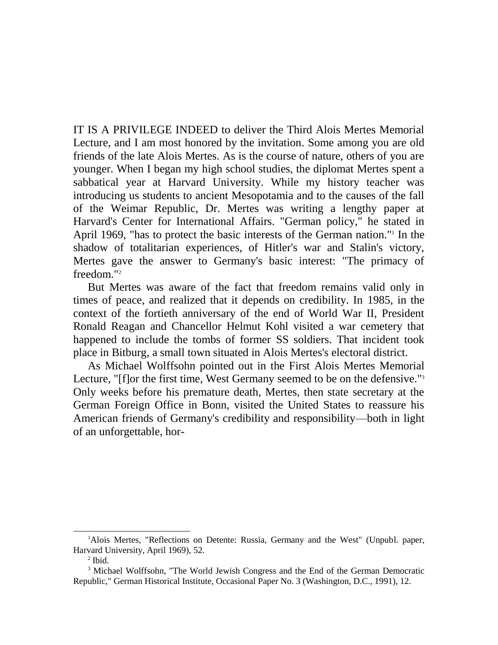IT IS A PRIVILEGE INDEED to deliver the Third Alois Mertes Memorial Lecture, and I am most honored by the invitation. Some among you are old friends of the late Alois Mertes. As is the course of nature, others of you are younger. When I began my high school studies, the diplomat Mertes spent a sabbatical year at Harvard University. While my history teacher was introducing us students to ancient Mesopotamia and to the causes of the fall of the Weimar Republic, Dr. Mertes was writing a lengthy paper at Harvard's Center for International Affairs. "German policy," he stated in April 1969, "has to protect the basic interests of the German nation."<sup>1</sup> In the shadow of totalitarian experiences, of Hitler's war and Stalin's victory, Mertes gave the answer to Germany's basic interest: "The primacy of freedom."<sup>2</sup>

But Mertes was aware of the fact that freedom remains valid only in times of peace, and realized that it depends on credibility. In 1985, in the context of the fortieth anniversary of the end of World War II, President Ronald Reagan and Chancellor Helmut Kohl visited a war cemetery that happened to include the tombs of former SS soldiers. That incident took place in Bitburg, a small town situated in Alois Mertes's electoral district.

As Michael Wolffsohn pointed out in the First Alois Mertes Memorial Lecture, "[f]or the first time, West Germany seemed to be on the defensive."<sup>3</sup> Only weeks before his premature death, Mertes, then state secretary at the German Foreign Office in Bonn, visited the United States to reassure his American friends of Germany's credibility and responsibility—both in light of an unforgettable, hor-

<sup>&</sup>lt;sup>1</sup>Alois Mertes, "Reflections on Detente: Russia, Germany and the West" (Unpubl. paper, Harvard University, April 1969), 52.

 $<sup>2</sup>$  Ibid.</sup>

<sup>&</sup>lt;sup>3</sup> Michael Wolffsohn, "The World Jewish Congress and the End of the German Democratic Republic," German Historical Institute, Occasional Paper No. 3 (Washington, D.C., 1991), 12.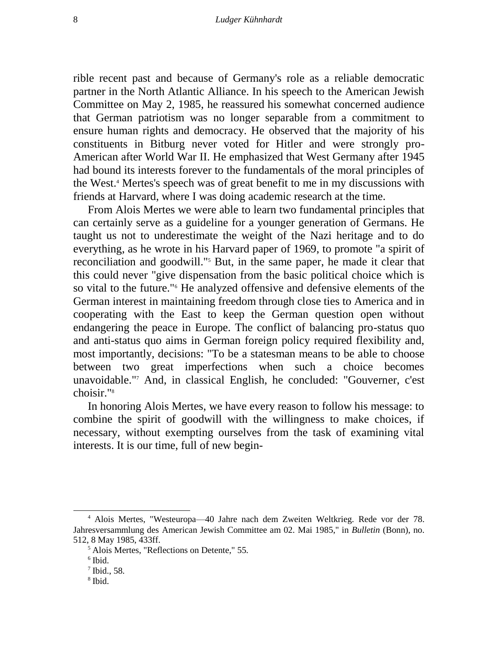rible recent past and because of Germany's role as a reliable democratic partner in the North Atlantic Alliance. In his speech to the American Jewish Committee on May 2, 1985, he reassured his somewhat concerned audience that German patriotism was no longer separable from a commitment to ensure human rights and democracy. He observed that the majority of his constituents in Bitburg never voted for Hitler and were strongly pro-American after World War II. He emphasized that West Germany after 1945 had bound its interests forever to the fundamentals of the moral principles of the West.<sup>4</sup> Mertes's speech was of great benefit to me in my discussions with friends at Harvard, where I was doing academic research at the time.

From Alois Mertes we were able to learn two fundamental principles that can certainly serve as a guideline for a younger generation of Germans. He taught us not to underestimate the weight of the Nazi heritage and to do everything, as he wrote in his Harvard paper of 1969, to promote "a spirit of reconciliation and goodwill."<sup>5</sup> But, in the same paper, he made it clear that this could never "give dispensation from the basic political choice which is so vital to the future."<sup>6</sup> He analyzed offensive and defensive elements of the German interest in maintaining freedom through close ties to America and in cooperating with the East to keep the German question open without endangering the peace in Europe. The conflict of balancing pro-status quo and anti-status quo aims in German foreign policy required flexibility and, most importantly, decisions: "To be a statesman means to be able to choose between two great imperfections when such a choice becomes unavoidable."<sup>7</sup> And, in classical English, he concluded: "Gouverner, c'est choisir."<sup>8</sup>

In honoring Alois Mertes, we have every reason to follow his message: to combine the spirit of goodwill with the willingness to make choices, if necessary, without exempting ourselves from the task of examining vital interests. It is our time, full of new begin-

<sup>4</sup> Alois Mertes, "Westeuropa—40 Jahre nach dem Zweiten Weltkrieg. Rede vor der 78. Jahresversammlung des American Jewish Committee am 02. Mai 1985," in *Bulletin* (Bonn), no. 512, 8 May 1985, 433ff.

<sup>5</sup> Alois Mertes, "Reflections on Detente," 55.

<sup>6</sup> Ibid.

 $<sup>7</sup>$  Ibid., 58.</sup>

<sup>8</sup> Ibid.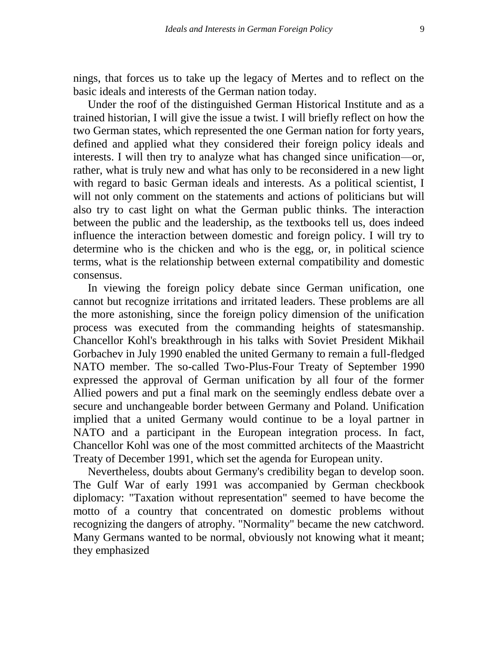nings, that forces us to take up the legacy of Mertes and to reflect on the basic ideals and interests of the German nation today.

Under the roof of the distinguished German Historical Institute and as a trained historian, I will give the issue a twist. I will briefly reflect on how the two German states, which represented the one German nation for forty years, defined and applied what they considered their foreign policy ideals and interests. I will then try to analyze what has changed since unification—or, rather, what is truly new and what has only to be reconsidered in a new light with regard to basic German ideals and interests. As a political scientist, I will not only comment on the statements and actions of politicians but will also try to cast light on what the German public thinks. The interaction between the public and the leadership, as the textbooks tell us, does indeed influence the interaction between domestic and foreign policy. I will try to determine who is the chicken and who is the egg, or, in political science terms, what is the relationship between external compatibility and domestic consensus.

In viewing the foreign policy debate since German unification, one cannot but recognize irritations and irritated leaders. These problems are all the more astonishing, since the foreign policy dimension of the unification process was executed from the commanding heights of statesmanship. Chancellor Kohl's breakthrough in his talks with Soviet President Mikhail Gorbachev in July 1990 enabled the united Germany to remain a full-fledged NATO member. The so-called Two-Plus-Four Treaty of September 1990 expressed the approval of German unification by all four of the former Allied powers and put a final mark on the seemingly endless debate over a secure and unchangeable border between Germany and Poland. Unification implied that a united Germany would continue to be a loyal partner in NATO and a participant in the European integration process. In fact, Chancellor Kohl was one of the most committed architects of the Maastricht Treaty of December 1991, which set the agenda for European unity.

Nevertheless, doubts about Germany's credibility began to develop soon. The Gulf War of early 1991 was accompanied by German checkbook diplomacy: "Taxation without representation" seemed to have become the motto of a country that concentrated on domestic problems without recognizing the dangers of atrophy. "Normality" became the new catchword. Many Germans wanted to be normal, obviously not knowing what it meant; they emphasized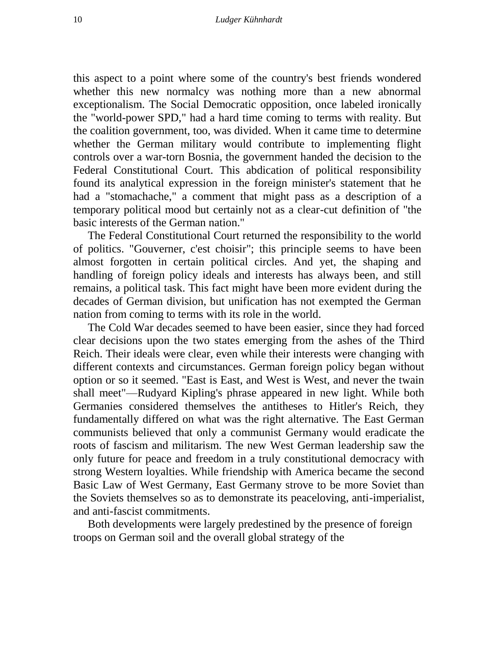this aspect to a point where some of the country's best friends wondered whether this new normalcy was nothing more than a new abnormal exceptionalism. The Social Democratic opposition, once labeled ironically the "world-power SPD," had a hard time coming to terms with reality. But the coalition government, too, was divided. When it came time to determine whether the German military would contribute to implementing flight controls over a war-torn Bosnia, the government handed the decision to the Federal Constitutional Court. This abdication of political responsibility found its analytical expression in the foreign minister's statement that he had a "stomachache," a comment that might pass as a description of a temporary political mood but certainly not as a clear-cut definition of "the basic interests of the German nation."

The Federal Constitutional Court returned the responsibility to the world of politics. "Gouverner, c'est choisir"; this principle seems to have been almost forgotten in certain political circles. And yet, the shaping and handling of foreign policy ideals and interests has always been, and still remains, a political task. This fact might have been more evident during the decades of German division, but unification has not exempted the German nation from coming to terms with its role in the world.

The Cold War decades seemed to have been easier, since they had forced clear decisions upon the two states emerging from the ashes of the Third Reich. Their ideals were clear, even while their interests were changing with different contexts and circumstances. German foreign policy began without option or so it seemed. "East is East, and West is West, and never the twain shall meet"—Rudyard Kipling's phrase appeared in new light. While both Germanies considered themselves the antitheses to Hitler's Reich, they fundamentally differed on what was the right alternative. The East German communists believed that only a communist Germany would eradicate the roots of fascism and militarism. The new West German leadership saw the only future for peace and freedom in a truly constitutional democracy with strong Western loyalties. While friendship with America became the second Basic Law of West Germany, East Germany strove to be more Soviet than the Soviets themselves so as to demonstrate its peaceloving, anti-imperialist, and anti-fascist commitments.

Both developments were largely predestined by the presence of foreign troops on German soil and the overall global strategy of the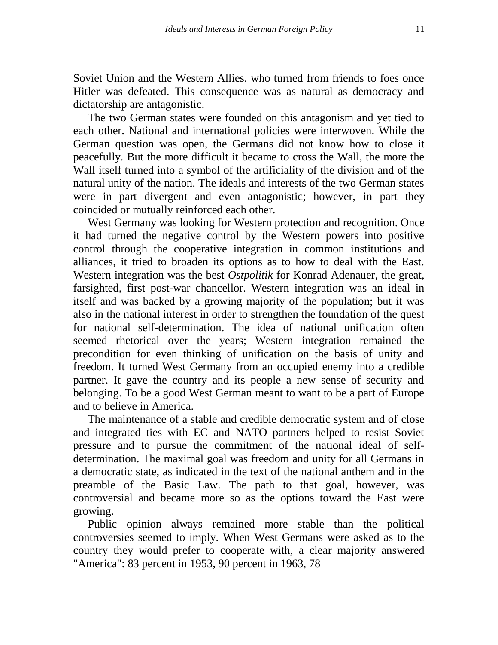Soviet Union and the Western Allies, who turned from friends to foes once Hitler was defeated. This consequence was as natural as democracy and dictatorship are antagonistic.

The two German states were founded on this antagonism and yet tied to each other. National and international policies were interwoven. While the German question was open, the Germans did not know how to close it peacefully. But the more difficult it became to cross the Wall, the more the Wall itself turned into a symbol of the artificiality of the division and of the natural unity of the nation. The ideals and interests of the two German states were in part divergent and even antagonistic; however, in part they coincided or mutually reinforced each other.

West Germany was looking for Western protection and recognition. Once it had turned the negative control by the Western powers into positive control through the cooperative integration in common institutions and alliances, it tried to broaden its options as to how to deal with the East. Western integration was the best *Ostpolitik* for Konrad Adenauer, the great, farsighted, first post-war chancellor. Western integration was an ideal in itself and was backed by a growing majority of the population; but it was also in the national interest in order to strengthen the foundation of the quest for national self-determination. The idea of national unification often seemed rhetorical over the years; Western integration remained the precondition for even thinking of unification on the basis of unity and freedom. It turned West Germany from an occupied enemy into a credible partner. It gave the country and its people a new sense of security and belonging. To be a good West German meant to want to be a part of Europe and to believe in America.

The maintenance of a stable and credible democratic system and of close and integrated ties with EC and NATO partners helped to resist Soviet pressure and to pursue the commitment of the national ideal of selfdetermination. The maximal goal was freedom and unity for all Germans in a democratic state, as indicated in the text of the national anthem and in the preamble of the Basic Law. The path to that goal, however, was controversial and became more so as the options toward the East were growing.

Public opinion always remained more stable than the political controversies seemed to imply. When West Germans were asked as to the country they would prefer to cooperate with, a clear majority answered "America": 83 percent in 1953, 90 percent in 1963, 78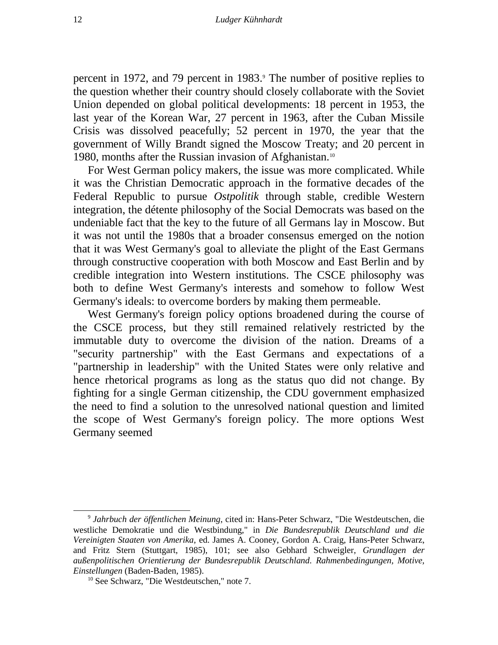percent in 1972, and 79 percent in 1983.<sup>9</sup> The number of positive replies to the question whether their country should closely collaborate with the Soviet Union depended on global political developments: 18 percent in 1953, the last year of the Korean War, 27 percent in 1963, after the Cuban Missile Crisis was dissolved peacefully; 52 percent in 1970, the year that the government of Willy Brandt signed the Moscow Treaty; and 20 percent in 1980, months after the Russian invasion of Afghanistan.<sup>10</sup>

For West German policy makers, the issue was more complicated. While it was the Christian Democratic approach in the formative decades of the Federal Republic to pursue *Ostpolitik* through stable, credible Western integration, the détente philosophy of the Social Democrats was based on the undeniable fact that the key to the future of all Germans lay in Moscow. But it was not until the 1980s that a broader consensus emerged on the notion that it was West Germany's goal to alleviate the plight of the East Germans through constructive cooperation with both Moscow and East Berlin and by credible integration into Western institutions. The CSCE philosophy was both to define West Germany's interests and somehow to follow West Germany's ideals: to overcome borders by making them permeable.

West Germany's foreign policy options broadened during the course of the CSCE process, but they still remained relatively restricted by the immutable duty to overcome the division of the nation. Dreams of a "security partnership" with the East Germans and expectations of a "partnership in leadership" with the United States were only relative and hence rhetorical programs as long as the status quo did not change. By fighting for a single German citizenship, the CDU government emphasized the need to find a solution to the unresolved national question and limited the scope of West Germany's foreign policy. The more options West Germany seemed

<sup>9</sup> *Jahrbuch der öffentlichen Meinung*, cited in: Hans-Peter Schwarz, "Die Westdeutschen, die westliche Demokratie und die Westbindung," in *Die Bundesrepublik Deutschland und die Vereinigten Staaten von Amerika*, ed. James A. Cooney, Gordon A. Craig, Hans-Peter Schwarz, and Fritz Stern (Stuttgart, 1985), 101; see also Gebhard Schweigler, *Grundlagen der außenpolitischen Orientierung der Bundesrepublik Deutschland. Rahmenbedingungen, Motive, Einstellungen* (Baden-Baden, 1985).

<sup>10</sup> See Schwarz, "Die Westdeutschen," note 7.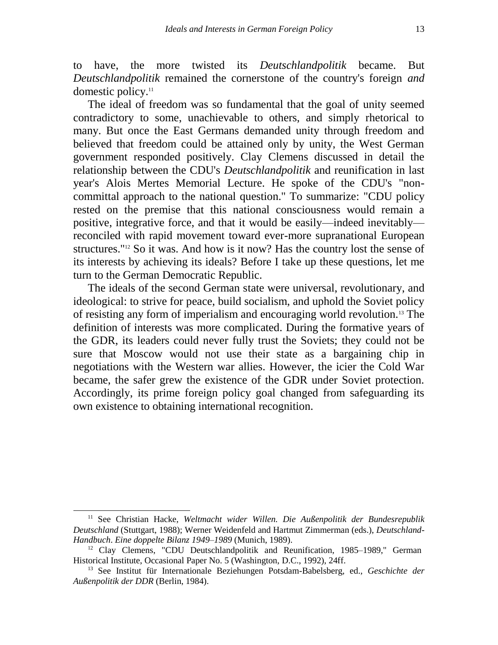to have, the more twisted its *Deutschlandpolitik* became. But *Deutschlandpolitik* remained the cornerstone of the country's foreign *and*  domestic policy.<sup>11</sup>

The ideal of freedom was so fundamental that the goal of unity seemed contradictory to some, unachievable to others, and simply rhetorical to many. But once the East Germans demanded unity through freedom and believed that freedom could be attained only by unity, the West German government responded positively. Clay Clemens discussed in detail the relationship between the CDU's *Deutschlandpolitik* and reunification in last year's Alois Mertes Memorial Lecture. He spoke of the CDU's "noncommittal approach to the national question." To summarize: "CDU policy rested on the premise that this national consciousness would remain a positive, integrative force, and that it would be easily—indeed inevitably reconciled with rapid movement toward ever-more supranational European structures."<sup>12</sup> So it was. And how is it now? Has the country lost the sense of its interests by achieving its ideals? Before I take up these questions, let me turn to the German Democratic Republic.

The ideals of the second German state were universal, revolutionary, and ideological: to strive for peace, build socialism, and uphold the Soviet policy of resisting any form of imperialism and encouraging world revolution.<sup>13</sup> The definition of interests was more complicated. During the formative years of the GDR, its leaders could never fully trust the Soviets; they could not be sure that Moscow would not use their state as a bargaining chip in negotiations with the Western war allies. However, the icier the Cold War became, the safer grew the existence of the GDR under Soviet protection. Accordingly, its prime foreign policy goal changed from safeguarding its own existence to obtaining international recognition.

<sup>&</sup>lt;sup>11</sup> See Christian Hacke, *Weltmacht wider Willen. Die Außenpolitik der Bundesrepublik Deutschland* (Stuttgart, 1988); Werner Weidenfeld and Hartmut Zimmerman (eds.), *Deutschland-Handbuch*. *Eine doppelte Bilanz 1949–1989* (Munich, 1989).

<sup>&</sup>lt;sup>12</sup> Clay Clemens, "CDU Deutschlandpolitik and Reunification, 1985–1989," German Historical Institute, Occasional Paper No. 5 (Washington, D.C., 1992), 24ff.

<sup>13</sup> See Institut für Internationale Beziehungen Potsdam-Babelsberg, ed., *Geschichte der Außenpolitik der DDR* (Berlin, 1984).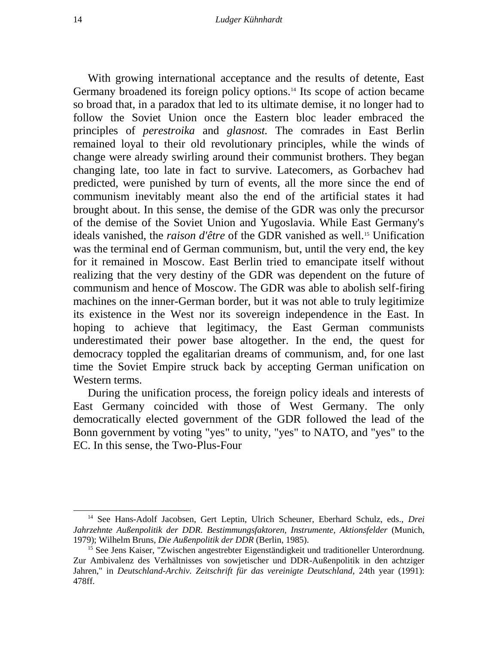With growing international acceptance and the results of detente, East Germany broadened its foreign policy options.<sup>14</sup> Its scope of action became so broad that, in a paradox that led to its ultimate demise, it no longer had to follow the Soviet Union once the Eastern bloc leader embraced the principles of *perestroika* and *glasnost.* The comrades in East Berlin remained loyal to their old revolutionary principles, while the winds of change were already swirling around their communist brothers. They began changing late, too late in fact to survive. Latecomers, as Gorbachev had predicted, were punished by turn of events, all the more since the end of communism inevitably meant also the end of the artificial states it had brought about. In this sense, the demise of the GDR was only the precursor of the demise of the Soviet Union and Yugoslavia. While East Germany's ideals vanished, the *raison d'être* of the GDR vanished as well.<sup>15</sup> Unification was the terminal end of German communism, but, until the very end, the key for it remained in Moscow. East Berlin tried to emancipate itself without realizing that the very destiny of the GDR was dependent on the future of communism and hence of Moscow. The GDR was able to abolish self-firing machines on the inner-German border, but it was not able to truly legitimize its existence in the West nor its sovereign independence in the East. In hoping to achieve that legitimacy, the East German communists underestimated their power base altogether. In the end, the quest for democracy toppled the egalitarian dreams of communism, and, for one last time the Soviet Empire struck back by accepting German unification on Western terms.

During the unification process, the foreign policy ideals and interests of East Germany coincided with those of West Germany. The only democratically elected government of the GDR followed the lead of the Bonn government by voting "yes" to unity, "yes" to NATO, and "yes" to the EC. In this sense, the Two-Plus-Four

<sup>14</sup> See Hans-Adolf Jacobsen, Gert Leptin, Ulrich Scheuner, Eberhard Schulz, eds., *Drei Jahrzehnte Außenpolitik der DDR. Bestimmungsfaktoren, Instrumente, Aktionsfelder* (Munich, 1979); Wilhelm Bruns, *Die Außenpolitik der DDR* (Berlin, 1985).

<sup>&</sup>lt;sup>15</sup> See Jens Kaiser, "Zwischen angestrebter Eigenständigkeit und traditioneller Unterordnung. Zur Ambivalenz des Verhältnisses von sowjetischer und DDR-Außenpolitik in den achtziger Jahren," in *Deutschland-Archiv. Zeitschrift für das vereinigte Deutschland*, 24th year (1991): 478ff.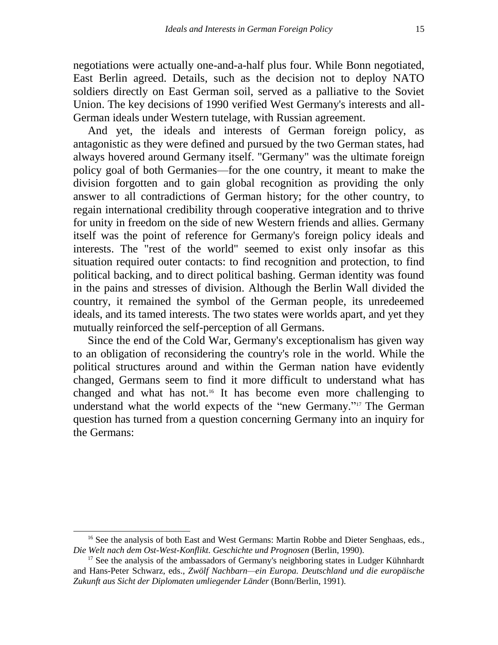negotiations were actually one-and-a-half plus four. While Bonn negotiated, East Berlin agreed. Details, such as the decision not to deploy NATO soldiers directly on East German soil, served as a palliative to the Soviet Union. The key decisions of 1990 verified West Germany's interests and all-German ideals under Western tutelage, with Russian agreement.

And yet, the ideals and interests of German foreign policy, as antagonistic as they were defined and pursued by the two German states, had always hovered around Germany itself. "Germany" was the ultimate foreign policy goal of both Germanies—for the one country, it meant to make the division forgotten and to gain global recognition as providing the only answer to all contradictions of German history; for the other country, to regain international credibility through cooperative integration and to thrive for unity in freedom on the side of new Western friends and allies. Germany itself was the point of reference for Germany's foreign policy ideals and interests. The "rest of the world" seemed to exist only insofar as this situation required outer contacts: to find recognition and protection, to find political backing, and to direct political bashing. German identity was found in the pains and stresses of division. Although the Berlin Wall divided the country, it remained the symbol of the German people, its unredeemed ideals, and its tamed interests. The two states were worlds apart, and yet they mutually reinforced the self-perception of all Germans.

Since the end of the Cold War, Germany's exceptionalism has given way to an obligation of reconsidering the country's role in the world. While the political structures around and within the German nation have evidently changed, Germans seem to find it more difficult to understand what has changed and what has not.<sup>16</sup> It has become even more challenging to understand what the world expects of the "new Germany."<sup>17</sup> The German question has turned from a question concerning Germany into an inquiry for the Germans:

<sup>&</sup>lt;sup>16</sup> See the analysis of both East and West Germans: Martin Robbe and Dieter Senghaas, eds., *Die Welt nach dem Ost-West-Konflikt. Geschichte und Prognosen* (Berlin, 1990).

 $17$  See the analysis of the ambassadors of Germany's neighboring states in Ludger Kühnhardt and Hans-Peter Schwarz, eds., *Zwölf Nachbarn—ein Europa. Deutschland und die europäische Zukunft aus Sicht der Diplomaten umliegender Länder* (Bonn/Berlin, 1991).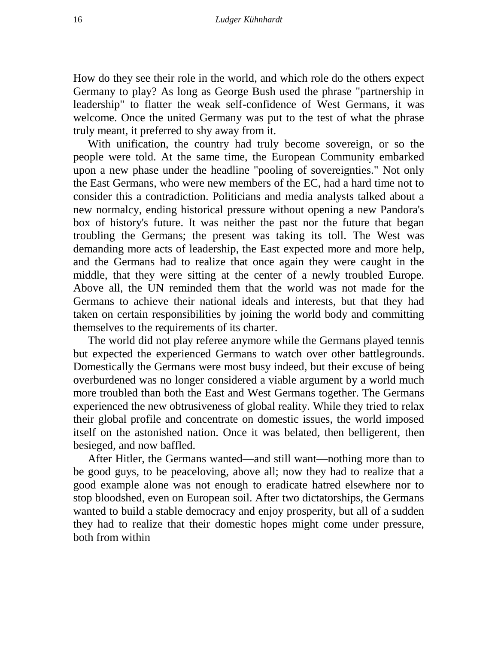How do they see their role in the world, and which role do the others expect Germany to play? As long as George Bush used the phrase "partnership in leadership" to flatter the weak self-confidence of West Germans, it was welcome. Once the united Germany was put to the test of what the phrase truly meant, it preferred to shy away from it.

With unification, the country had truly become sovereign, or so the people were told. At the same time, the European Community embarked upon a new phase under the headline "pooling of sovereignties." Not only the East Germans, who were new members of the EC, had a hard time not to consider this a contradiction. Politicians and media analysts talked about a new normalcy, ending historical pressure without opening a new Pandora's box of history's future. It was neither the past nor the future that began troubling the Germans; the present was taking its toll. The West was demanding more acts of leadership, the East expected more and more help, and the Germans had to realize that once again they were caught in the middle, that they were sitting at the center of a newly troubled Europe. Above all, the UN reminded them that the world was not made for the Germans to achieve their national ideals and interests, but that they had taken on certain responsibilities by joining the world body and committing themselves to the requirements of its charter.

The world did not play referee anymore while the Germans played tennis but expected the experienced Germans to watch over other battlegrounds. Domestically the Germans were most busy indeed, but their excuse of being overburdened was no longer considered a viable argument by a world much more troubled than both the East and West Germans together. The Germans experienced the new obtrusiveness of global reality. While they tried to relax their global profile and concentrate on domestic issues, the world imposed itself on the astonished nation. Once it was belated, then belligerent, then besieged, and now baffled.

After Hitler, the Germans wanted—and still want—nothing more than to be good guys, to be peaceloving, above all; now they had to realize that a good example alone was not enough to eradicate hatred elsewhere nor to stop bloodshed, even on European soil. After two dictatorships, the Germans wanted to build a stable democracy and enjoy prosperity, but all of a sudden they had to realize that their domestic hopes might come under pressure, both from within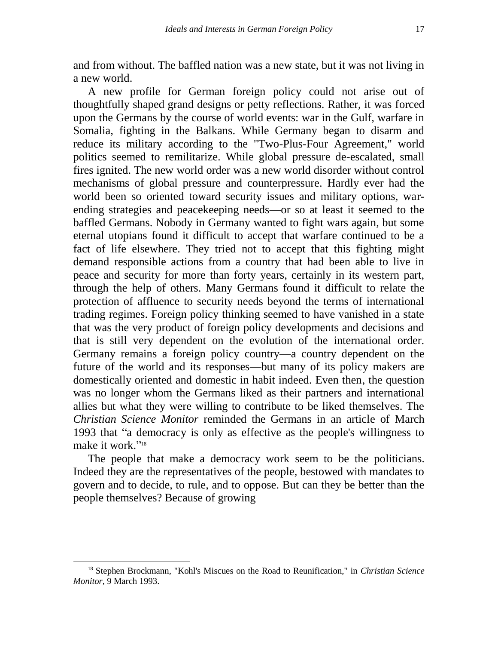and from without. The baffled nation was a new state, but it was not living in a new world.

A new profile for German foreign policy could not arise out of thoughtfully shaped grand designs or petty reflections. Rather, it was forced upon the Germans by the course of world events: war in the Gulf, warfare in Somalia, fighting in the Balkans. While Germany began to disarm and reduce its military according to the "Two-Plus-Four Agreement," world politics seemed to remilitarize. While global pressure de-escalated, small fires ignited. The new world order was a new world disorder without control mechanisms of global pressure and counterpressure. Hardly ever had the world been so oriented toward security issues and military options, warending strategies and peacekeeping needs—or so at least it seemed to the baffled Germans. Nobody in Germany wanted to fight wars again, but some eternal utopians found it difficult to accept that warfare continued to be a fact of life elsewhere. They tried not to accept that this fighting might demand responsible actions from a country that had been able to live in peace and security for more than forty years, certainly in its western part, through the help of others. Many Germans found it difficult to relate the protection of affluence to security needs beyond the terms of international trading regimes. Foreign policy thinking seemed to have vanished in a state that was the very product of foreign policy developments and decisions and that is still very dependent on the evolution of the international order. Germany remains a foreign policy country—a country dependent on the future of the world and its responses—but many of its policy makers are domestically oriented and domestic in habit indeed. Even then, the question was no longer whom the Germans liked as their partners and international allies but what they were willing to contribute to be liked themselves. The *Christian Science Monitor* reminded the Germans in an article of March 1993 that "a democracy is only as effective as the people's willingness to make it work."<sup>18</sup>

The people that make a democracy work seem to be the politicians. Indeed they are the representatives of the people, bestowed with mandates to govern and to decide, to rule, and to oppose. But can they be better than the people themselves? Because of growing

<sup>18</sup> Stephen Brockmann, "Kohl's Miscues on the Road to Reunification," in *Christian Science Monitor*, 9 March 1993.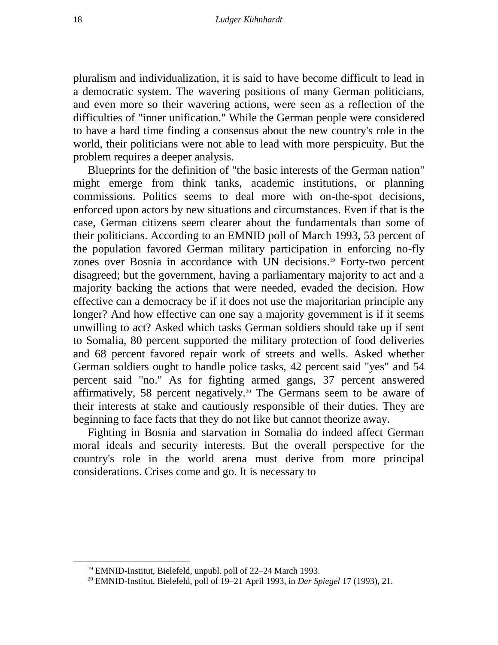pluralism and individualization, it is said to have become difficult to lead in a democratic system. The wavering positions of many German politicians, and even more so their wavering actions, were seen as a reflection of the difficulties of "inner unification." While the German people were considered to have a hard time finding a consensus about the new country's role in the world, their politicians were not able to lead with more perspicuity. But the problem requires a deeper analysis.

Blueprints for the definition of "the basic interests of the German nation" might emerge from think tanks, academic institutions, or planning commissions. Politics seems to deal more with on-the-spot decisions, enforced upon actors by new situations and circumstances. Even if that is the case, German citizens seem clearer about the fundamentals than some of their politicians. According to an EMNID poll of March 1993, 53 percent of the population favored German military participation in enforcing no-fly zones over Bosnia in accordance with UN decisions.<sup>19</sup> Forty-two percent disagreed; but the government, having a parliamentary majority to act and a majority backing the actions that were needed, evaded the decision. How effective can a democracy be if it does not use the majoritarian principle any longer? And how effective can one say a majority government is if it seems unwilling to act? Asked which tasks German soldiers should take up if sent to Somalia, 80 percent supported the military protection of food deliveries and 68 percent favored repair work of streets and wells. Asked whether German soldiers ought to handle police tasks, 42 percent said "yes" and 54 percent said "no." As for fighting armed gangs, 37 percent answered affirmatively, 58 percent negatively.<sup>20</sup> The Germans seem to be aware of their interests at stake and cautiously responsible of their duties. They are beginning to face facts that they do not like but cannot theorize away.

Fighting in Bosnia and starvation in Somalia do indeed affect German moral ideals and security interests. But the overall perspective for the country's role in the world arena must derive from more principal considerations. Crises come and go. It is necessary to

<sup>19</sup> EMNID-Institut, Bielefeld, unpubl. poll of 22–24 March 1993.

<sup>20</sup> EMNID-Institut, Bielefeld, poll of 19–21 April 1993, in *Der Spiegel* 17 (1993), 21.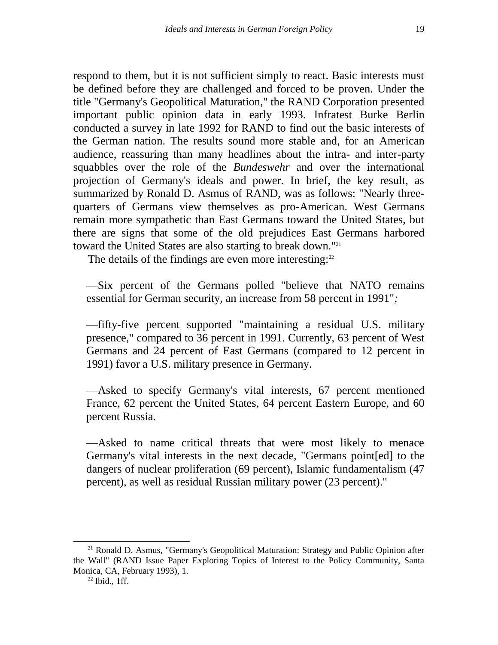respond to them, but it is not sufficient simply to react. Basic interests must be defined before they are challenged and forced to be proven. Under the title "Germany's Geopolitical Maturation," the RAND Corporation presented important public opinion data in early 1993. Infratest Burke Berlin conducted a survey in late 1992 for RAND to find out the basic interests of the German nation. The results sound more stable and, for an American audience, reassuring than many headlines about the intra- and inter-party squabbles over the role of the *Bundeswehr* and over the international projection of Germany's ideals and power. In brief, the key result, as summarized by Ronald D. Asmus of RAND, was as follows: "Nearly threequarters of Germans view themselves as pro-American. West Germans remain more sympathetic than East Germans toward the United States, but there are signs that some of the old prejudices East Germans harbored toward the United States are also starting to break down."<sup>21</sup>

The details of the findings are even more interesting:<sup>22</sup>

—Six percent of the Germans polled "believe that NATO remains essential for German security, an increase from 58 percent in 1991"*;*

—fifty-five percent supported "maintaining a residual U.S. military presence," compared to 36 percent in 1991. Currently, 63 percent of West Germans and 24 percent of East Germans (compared to 12 percent in 1991) favor a U.S. military presence in Germany.

—Asked to specify Germany's vital interests, 67 percent mentioned France, 62 percent the United States, 64 percent Eastern Europe, and 60 percent Russia.

—Asked to name critical threats that were most likely to menace Germany's vital interests in the next decade, "Germans point[ed] to the dangers of nuclear proliferation (69 percent), Islamic fundamentalism (47 percent), as well as residual Russian military power (23 percent)."

<sup>&</sup>lt;sup>21</sup> Ronald D. Asmus, "Germany's Geopolitical Maturation: Strategy and Public Opinion after the Wall" (RAND Issue Paper Exploring Topics of Interest to the Policy Community, Santa Monica, CA, February 1993), 1.

<sup>22</sup> Ibid., 1ff.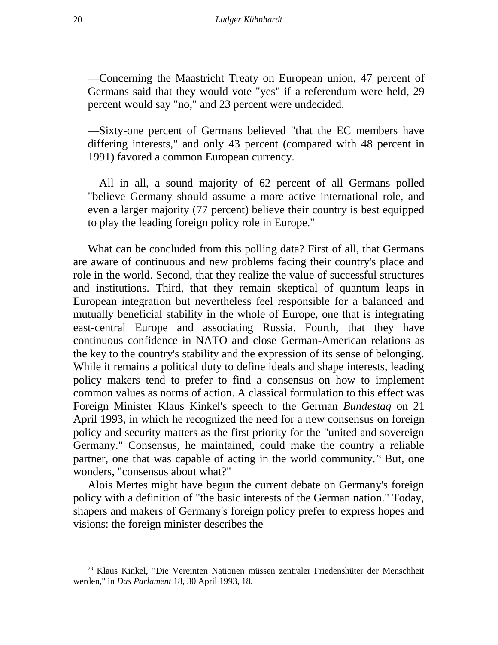—Concerning the Maastricht Treaty on European union, 47 percent of Germans said that they would vote "yes" if a referendum were held, 29 percent would say "no," and 23 percent were undecided.

—Sixty-one percent of Germans believed "that the EC members have differing interests," and only 43 percent (compared with 48 percent in 1991) favored a common European currency.

—All in all, a sound majority of 62 percent of all Germans polled "believe Germany should assume a more active international role, and even a larger majority (77 percent) believe their country is best equipped to play the leading foreign policy role in Europe."

What can be concluded from this polling data? First of all, that Germans are aware of continuous and new problems facing their country's place and role in the world. Second, that they realize the value of successful structures and institutions. Third, that they remain skeptical of quantum leaps in European integration but nevertheless feel responsible for a balanced and mutually beneficial stability in the whole of Europe, one that is integrating east-central Europe and associating Russia. Fourth, that they have continuous confidence in NATO and close German-American relations as the key to the country's stability and the expression of its sense of belonging. While it remains a political duty to define ideals and shape interests, leading policy makers tend to prefer to find a consensus on how to implement common values as norms of action. A classical formulation to this effect was Foreign Minister Klaus Kinkel's speech to the German *Bundestag* on 21 April 1993, in which he recognized the need for a new consensus on foreign policy and security matters as the first priority for the "united and sovereign Germany." Consensus, he maintained, could make the country a reliable partner, one that was capable of acting in the world community.<sup>23</sup> But, one wonders, "consensus about what?"

Alois Mertes might have begun the current debate on Germany's foreign policy with a definition of "the basic interests of the German nation." Today, shapers and makers of Germany's foreign policy prefer to express hopes and visions: the foreign minister describes the

<sup>&</sup>lt;sup>23</sup> Klaus Kinkel, "Die Vereinten Nationen müssen zentraler Friedenshüter der Menschheit werden," in *Das Parlament* 18, 30 April 1993, 18.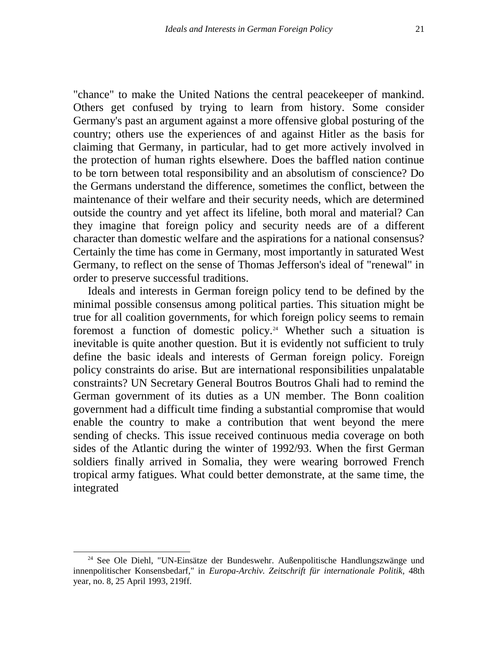"chance" to make the United Nations the central peacekeeper of mankind. Others get confused by trying to learn from history. Some consider Germany's past an argument against a more offensive global posturing of the country; others use the experiences of and against Hitler as the basis for claiming that Germany, in particular, had to get more actively involved in the protection of human rights elsewhere. Does the baffled nation continue to be torn between total responsibility and an absolutism of conscience? Do the Germans understand the difference, sometimes the conflict, between the maintenance of their welfare and their security needs, which are determined outside the country and yet affect its lifeline, both moral and material? Can they imagine that foreign policy and security needs are of a different character than domestic welfare and the aspirations for a national consensus? Certainly the time has come in Germany, most importantly in saturated West Germany, to reflect on the sense of Thomas Jefferson's ideal of "renewal" in order to preserve successful traditions.

Ideals and interests in German foreign policy tend to be defined by the minimal possible consensus among political parties. This situation might be true for all coalition governments, for which foreign policy seems to remain foremost a function of domestic policy.<sup>24</sup> Whether such a situation is inevitable is quite another question. But it is evidently not sufficient to truly define the basic ideals and interests of German foreign policy. Foreign policy constraints do arise. But are international responsibilities unpalatable constraints? UN Secretary General Boutros Boutros Ghali had to remind the German government of its duties as a UN member. The Bonn coalition government had a difficult time finding a substantial compromise that would enable the country to make a contribution that went beyond the mere sending of checks. This issue received continuous media coverage on both sides of the Atlantic during the winter of 1992/93. When the first German soldiers finally arrived in Somalia, they were wearing borrowed French tropical army fatigues. What could better demonstrate, at the same time, the integrated

<sup>&</sup>lt;sup>24</sup> See Ole Diehl, "UN-Einsätze der Bundeswehr. Außenpolitische Handlungszwänge und innenpolitischer Konsensbedarf," in *Europa-Archiv. Zeitschrift für internationale Politik*, 48th year, no. 8, 25 April 1993, 219ff.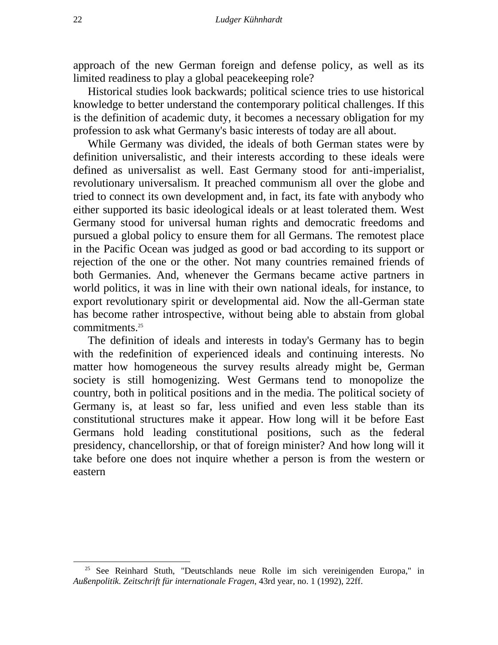approach of the new German foreign and defense policy, as well as its limited readiness to play a global peacekeeping role?

Historical studies look backwards; political science tries to use historical knowledge to better understand the contemporary political challenges. If this is the definition of academic duty, it becomes a necessary obligation for my profession to ask what Germany's basic interests of today are all about.

While Germany was divided, the ideals of both German states were by definition universalistic, and their interests according to these ideals were defined as universalist as well. East Germany stood for anti-imperialist, revolutionary universalism. It preached communism all over the globe and tried to connect its own development and, in fact, its fate with anybody who either supported its basic ideological ideals or at least tolerated them. West Germany stood for universal human rights and democratic freedoms and pursued a global policy to ensure them for all Germans. The remotest place in the Pacific Ocean was judged as good or bad according to its support or rejection of the one or the other. Not many countries remained friends of both Germanies. And, whenever the Germans became active partners in world politics, it was in line with their own national ideals, for instance, to export revolutionary spirit or developmental aid. Now the all-German state has become rather introspective, without being able to abstain from global commitments.<sup>25</sup>

The definition of ideals and interests in today's Germany has to begin with the redefinition of experienced ideals and continuing interests. No matter how homogeneous the survey results already might be, German society is still homogenizing. West Germans tend to monopolize the country, both in political positions and in the media. The political society of Germany is, at least so far, less unified and even less stable than its constitutional structures make it appear. How long will it be before East Germans hold leading constitutional positions, such as the federal presidency, chancellorship, or that of foreign minister? And how long will it take before one does not inquire whether a person is from the western or eastern

<sup>&</sup>lt;sup>25</sup> See Reinhard Stuth, "Deutschlands neue Rolle im sich vereinigenden Europa," in *Außenpolitik. Zeitschrift für internationale Fragen*, 43rd year, no. 1 (1992), 22ff.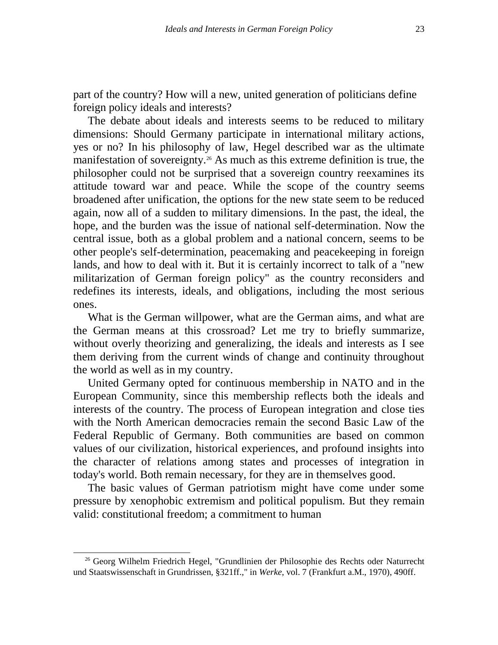part of the country? How will a new, united generation of politicians define foreign policy ideals and interests?

The debate about ideals and interests seems to be reduced to military dimensions: Should Germany participate in international military actions, yes or no? In his philosophy of law, Hegel described war as the ultimate manifestation of sovereignty.<sup>26</sup> As much as this extreme definition is true, the philosopher could not be surprised that a sovereign country reexamines its attitude toward war and peace. While the scope of the country seems broadened after unification, the options for the new state seem to be reduced again, now all of a sudden to military dimensions. In the past, the ideal, the hope, and the burden was the issue of national self-determination. Now the central issue, both as a global problem and a national concern, seems to be other people's self-determination, peacemaking and peacekeeping in foreign lands, and how to deal with it. But it is certainly incorrect to talk of a "new militarization of German foreign policy" as the country reconsiders and redefines its interests, ideals, and obligations, including the most serious ones.

What is the German willpower, what are the German aims, and what are the German means at this crossroad? Let me try to briefly summarize, without overly theorizing and generalizing, the ideals and interests as I see them deriving from the current winds of change and continuity throughout the world as well as in my country.

United Germany opted for continuous membership in NATO and in the European Community, since this membership reflects both the ideals and interests of the country. The process of European integration and close ties with the North American democracies remain the second Basic Law of the Federal Republic of Germany. Both communities are based on common values of our civilization, historical experiences, and profound insights into the character of relations among states and processes of integration in today's world. Both remain necessary, for they are in themselves good.

The basic values of German patriotism might have come under some pressure by xenophobic extremism and political populism. But they remain valid: constitutional freedom; a commitment to human

l

<sup>&</sup>lt;sup>26</sup> Georg Wilhelm Friedrich Hegel, "Grundlinien der Philosophie des Rechts oder Naturrecht und Staatswissenschaft in Grundrissen, §321ff.," in *Werke*, vol. 7 (Frankfurt a.M., 1970), 490ff.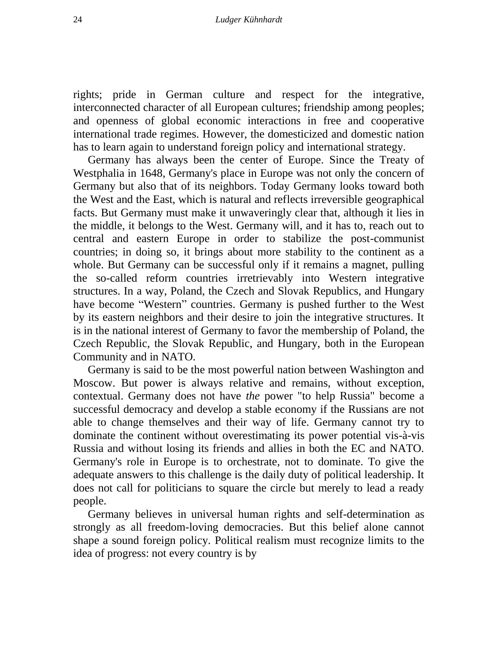rights; pride in German culture and respect for the integrative, interconnected character of all European cultures; friendship among peoples; and openness of global economic interactions in free and cooperative international trade regimes. However, the domesticized and domestic nation has to learn again to understand foreign policy and international strategy.

Germany has always been the center of Europe. Since the Treaty of Westphalia in 1648, Germany's place in Europe was not only the concern of Germany but also that of its neighbors. Today Germany looks toward both the West and the East, which is natural and reflects irreversible geographical facts. But Germany must make it unwaveringly clear that, although it lies in the middle, it belongs to the West. Germany will, and it has to, reach out to central and eastern Europe in order to stabilize the post-communist countries; in doing so, it brings about more stability to the continent as a whole. But Germany can be successful only if it remains a magnet, pulling the so-called reform countries irretrievably into Western integrative structures. In a way, Poland, the Czech and Slovak Republics, and Hungary have become "Western" countries. Germany is pushed further to the West by its eastern neighbors and their desire to join the integrative structures. It is in the national interest of Germany to favor the membership of Poland, the Czech Republic, the Slovak Republic, and Hungary, both in the European Community and in NATO.

Germany is said to be the most powerful nation between Washington and Moscow. But power is always relative and remains, without exception, contextual. Germany does not have *the* power "to help Russia" become a successful democracy and develop a stable economy if the Russians are not able to change themselves and their way of life. Germany cannot try to dominate the continent without overestimating its power potential vis-à-vis Russia and without losing its friends and allies in both the EC and NATO. Germany's role in Europe is to orchestrate, not to dominate. To give the adequate answers to this challenge is the daily duty of political leadership. It does not call for politicians to square the circle but merely to lead a ready people.

Germany believes in universal human rights and self-determination as strongly as all freedom-loving democracies. But this belief alone cannot shape a sound foreign policy. Political realism must recognize limits to the idea of progress: not every country is by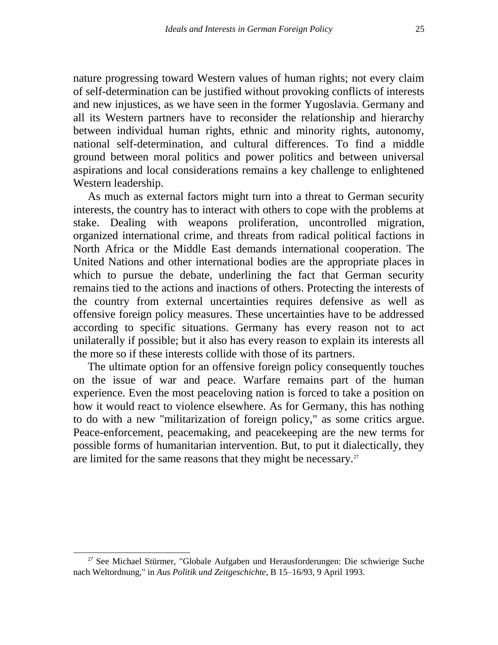nature progressing toward Western values of human rights; not every claim of self-determination can be justified without provoking conflicts of interests and new injustices, as we have seen in the former Yugoslavia. Germany and all its Western partners have to reconsider the relationship and hierarchy between individual human rights, ethnic and minority rights, autonomy, national self-determination, and cultural differences. To find a middle ground between moral politics and power politics and between universal aspirations and local considerations remains a key challenge to enlightened Western leadership.

As much as external factors might turn into a threat to German security interests, the country has to interact with others to cope with the problems at stake. Dealing with weapons proliferation, uncontrolled migration, organized international crime, and threats from radical political factions in North Africa or the Middle East demands international cooperation. The United Nations and other international bodies are the appropriate places in which to pursue the debate, underlining the fact that German security remains tied to the actions and inactions of others. Protecting the interests of the country from external uncertainties requires defensive as well as offensive foreign policy measures. These uncertainties have to be addressed according to specific situations. Germany has every reason not to act unilaterally if possible; but it also has every reason to explain its interests all the more so if these interests collide with those of its partners.

The ultimate option for an offensive foreign policy consequently touches on the issue of war and peace. Warfare remains part of the human experience. Even the most peaceloving nation is forced to take a position on how it would react to violence elsewhere. As for Germany, this has nothing to do with a new "militarization of foreign policy," as some critics argue. Peace-enforcement, peacemaking, and peacekeeping are the new terms for possible forms of humanitarian intervention. But, to put it dialectically, they are limited for the same reasons that they might be necessary.<sup>27</sup>

l

 $27$  See Michael Stürmer, "Globale Aufgaben und Herausforderungen: Die schwierige Suche nach Weltordnung," in *Aus Politik und Zeitgeschichte*, B 15–16/93, 9 April 1993.